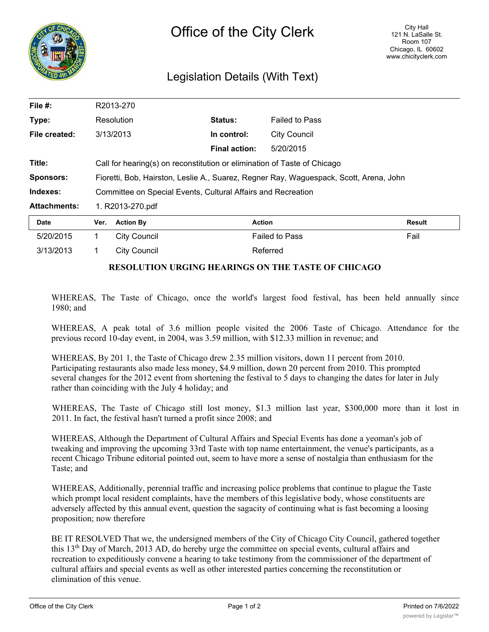

## Legislation Details (With Text)

| File #:             | R2013-270                                                                              |                      |                       |               |
|---------------------|----------------------------------------------------------------------------------------|----------------------|-----------------------|---------------|
| Type:               | Resolution                                                                             | Status:              | <b>Failed to Pass</b> |               |
| File created:       | 3/13/2013                                                                              | In control:          | <b>City Council</b>   |               |
|                     |                                                                                        | <b>Final action:</b> | 5/20/2015             |               |
| Title:              | Call for hearing(s) on reconstitution or elimination of Taste of Chicago               |                      |                       |               |
| <b>Sponsors:</b>    | Fioretti, Bob, Hairston, Leslie A., Suarez, Regner Ray, Waguespack, Scott, Arena, John |                      |                       |               |
| Indexes:            | Committee on Special Events, Cultural Affairs and Recreation                           |                      |                       |               |
| <b>Attachments:</b> | 1. R2013-270.pdf                                                                       |                      |                       |               |
| Date                | <b>Action By</b><br>Ver.                                                               | Action               |                       | <b>Result</b> |
| 5/20/2015           | <b>City Council</b>                                                                    |                      | <b>Failed to Pass</b> | Fail          |

## **RESOLUTION URGING HEARINGS ON THE TASTE OF CHICAGO**

3/13/2013 1 City Council Referred

WHEREAS, The Taste of Chicago, once the world's largest food festival, has been held annually since 1980; and

WHEREAS, A peak total of 3.6 million people visited the 2006 Taste of Chicago. Attendance for the previous record 10-day event, in 2004, was 3.59 million, with \$12.33 million in revenue; and

WHEREAS, By 201 1, the Taste of Chicago drew 2.35 million visitors, down 11 percent from 2010. Participating restaurants also made less money, \$4.9 million, down 20 percent from 2010. This prompted several changes for the 2012 event from shortening the festival to 5 days to changing the dates for later in July rather than coinciding with the July 4 holiday; and

WHEREAS, The Taste of Chicago still lost money, \$1.3 million last year, \$300,000 more than it lost in 2011. In fact, the festival hasn't turned a profit since 2008; and

WHEREAS, Although the Department of Cultural Affairs and Special Events has done a yeoman's job of tweaking and improving the upcoming 33rd Taste with top name entertainment, the venue's participants, as a recent Chicago Tribune editorial pointed out, seem to have more a sense of nostalgia than enthusiasm for the Taste; and

WHEREAS, Additionally, perennial traffic and increasing police problems that continue to plague the Taste which prompt local resident complaints, have the members of this legislative body, whose constituents are adversely affected by this annual event, question the sagacity of continuing what is fast becoming a loosing proposition; now therefore

BE IT RESOLVED That we, the undersigned members of the City of Chicago City Council, gathered together this 13th Day of March, 2013 AD, do hereby urge the committee on special events, cultural affairs and recreation to expeditiously convene a hearing to take testimony from the commissioner of the department of cultural affairs and special events as well as other interested parties concerning the reconstitution or elimination of this venue.